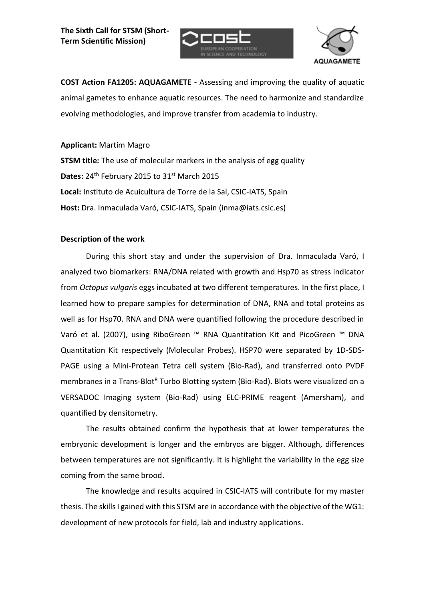



**COST Action FA1205: AQUAGAMETE -** Assessing and improving the quality of aquatic animal gametes to enhance aquatic resources. The need to harmonize and standardize evolving methodologies, and improve transfer from academia to industry.

**Applicant:** Martim Magro **STSM title:** The use of molecular markers in the analysis of egg quality Dates: 24<sup>th</sup> February 2015 to 31<sup>st</sup> March 2015 **Local:** Instituto de Acuicultura de Torre de la Sal, CSIC-IATS, Spain **Host:** Dra. Inmaculada Varó, CSIC-IATS, Spain (inma@iats.csic.es)

## **Description of the work**

During this short stay and under the supervision of Dra. Inmaculada Varó, I analyzed two biomarkers: RNA/DNA related with growth and Hsp70 as stress indicator from *Octopus vulgaris* eggs incubated at two different temperatures. In the first place, I learned how to prepare samples for determination of DNA, RNA and total proteins as well as for Hsp70. RNA and DNA were quantified following the procedure described in Varó et al. (2007), using RiboGreen ™ RNA Quantitation Kit and PicoGreen ™ DNA Quantitation Kit respectively (Molecular Probes). HSP70 were separated by 1D-SDS-PAGE using a Mini-Protean Tetra cell system (Bio-Rad), and transferred onto PVDF membranes in a Trans-Blot<sup>R</sup> Turbo Blotting system (Bio-Rad). Blots were visualized on a VERSADOC Imaging system (Bio-Rad) using ELC-PRIME reagent (Amersham), and quantified by densitometry.

The results obtained confirm the hypothesis that at lower temperatures the embryonic development is longer and the embryos are bigger. Although, differences between temperatures are not significantly. It is highlight the variability in the egg size coming from the same brood.

The knowledge and results acquired in CSIC-IATS will contribute for my master thesis. The skills I gained with this STSM are in accordance with the objective of the WG1: development of new protocols for field, lab and industry applications.